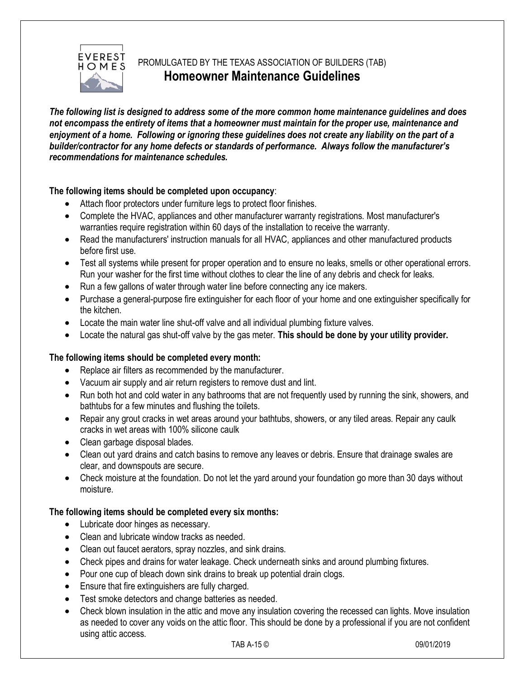

# PROMULGATED BY THE TEXAS ASSOCIATION OF BUILDERS (TAB) **Homeowner Maintenance Guidelines**

*The following list is designed to address some of the more common home maintenance guidelines and does not encompass the entirety of items that a homeowner must maintain for the proper use, maintenance and enjoyment of a home. Following or ignoring these guidelines does not create any liability on the part of a builder/contractor for any home defects or standards of performance. Always follow the manufacturer's recommendations for maintenance schedules.*

## **The following items should be completed upon occupancy**:

- Attach floor protectors under furniture legs to protect floor finishes.
- Complete the HVAC, appliances and other manufacturer warranty registrations. Most manufacturer's warranties require registration within 60 days of the installation to receive the warranty.
- Read the manufacturers' instruction manuals for all HVAC, appliances and other manufactured products before first use.
- Test all systems while present for proper operation and to ensure no leaks, smells or other operational errors. Run your washer for the first time without clothes to clear the line of any debris and check for leaks.
- Run a few gallons of water through water line before connecting any ice makers.
- Purchase a general-purpose fire extinguisher for each floor of your home and one extinguisher specifically for the kitchen.
- Locate the main water line shut-off valve and all individual plumbing fixture valves.
- Locate the natural gas shut-off valve by the gas meter. **This should be done by your utility provider.**

### **The following items should be completed every month:**

- Replace air filters as recommended by the manufacturer.
- Vacuum air supply and air return registers to remove dust and lint.
- Run both hot and cold water in any bathrooms that are not frequently used by running the sink, showers, and bathtubs for a few minutes and flushing the toilets.
- Repair any grout cracks in wet areas around your bathtubs, showers, or any tiled areas. Repair any caulk cracks in wet areas with 100% silicone caulk
- Clean garbage disposal blades.
- Clean out yard drains and catch basins to remove any leaves or debris. Ensure that drainage swales are clear, and downspouts are secure.
- Check moisture at the foundation. Do not let the yard around your foundation go more than 30 days without moisture.

### **The following items should be completed every six months:**

- Lubricate door hinges as necessary.
- Clean and lubricate window tracks as needed.
- Clean out faucet aerators, spray nozzles, and sink drains.
- Check pipes and drains for water leakage. Check underneath sinks and around plumbing fixtures.
- Pour one cup of bleach down sink drains to break up potential drain clogs.
- Ensure that fire extinguishers are fully charged.
- Test smoke detectors and change batteries as needed.
- Check blown insulation in the attic and move any insulation covering the recessed can lights. Move insulation as needed to cover any voids on the attic floor. This should be done by a professional if you are not confident using attic access.